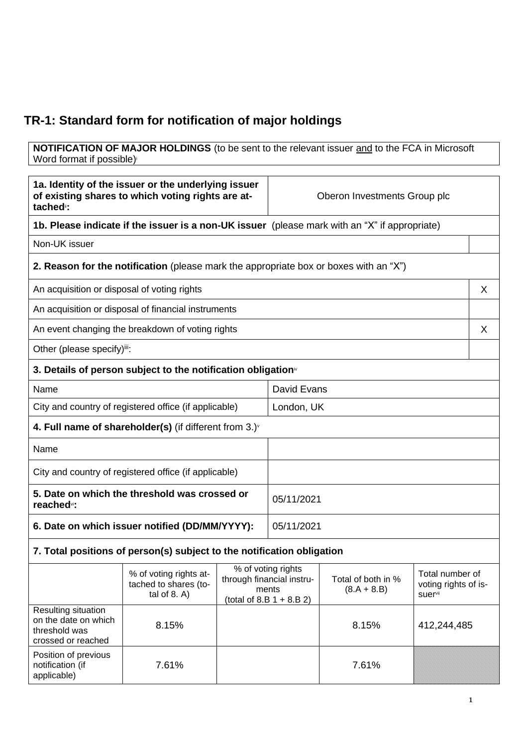## **TR-1: Standard form for notification of major holdings**

**NOTIFICATION OF MAJOR HOLDINGS** (to be sent to the relevant issuer and to the FCA in Microsoft Word format if possible)

| 1a. Identity of the issuer or the underlying issuer<br>of existing shares to which voting rights are at-<br>tached <sup>®</sup> : |                                                                                               |                                                                                                                                          | Oberon Investments Group plc |                                         |             |  |
|-----------------------------------------------------------------------------------------------------------------------------------|-----------------------------------------------------------------------------------------------|------------------------------------------------------------------------------------------------------------------------------------------|------------------------------|-----------------------------------------|-------------|--|
|                                                                                                                                   | 1b. Please indicate if the issuer is a non-UK issuer (please mark with an "X" if appropriate) |                                                                                                                                          |                              |                                         |             |  |
| Non-UK issuer                                                                                                                     |                                                                                               |                                                                                                                                          |                              |                                         |             |  |
|                                                                                                                                   | <b>2. Reason for the notification</b> (please mark the appropriate box or boxes with an "X")  |                                                                                                                                          |                              |                                         |             |  |
| An acquisition or disposal of voting rights                                                                                       |                                                                                               |                                                                                                                                          |                              |                                         | X           |  |
|                                                                                                                                   | An acquisition or disposal of financial instruments                                           |                                                                                                                                          |                              |                                         |             |  |
|                                                                                                                                   | An event changing the breakdown of voting rights                                              |                                                                                                                                          |                              |                                         | X           |  |
| Other (please specify)iii:                                                                                                        |                                                                                               |                                                                                                                                          |                              |                                         |             |  |
|                                                                                                                                   | 3. Details of person subject to the notification obligation <sup>®</sup>                      |                                                                                                                                          |                              |                                         |             |  |
| Name                                                                                                                              |                                                                                               |                                                                                                                                          | David Evans                  |                                         |             |  |
|                                                                                                                                   | City and country of registered office (if applicable)                                         |                                                                                                                                          | London, UK                   |                                         |             |  |
|                                                                                                                                   | 4. Full name of shareholder(s) (if different from $3.$ )                                      |                                                                                                                                          |                              |                                         |             |  |
| Name                                                                                                                              |                                                                                               |                                                                                                                                          |                              |                                         |             |  |
| City and country of registered office (if applicable)                                                                             |                                                                                               |                                                                                                                                          |                              |                                         |             |  |
| 5. Date on which the threshold was crossed or<br>reached <sup>vi</sup> :                                                          |                                                                                               |                                                                                                                                          | 05/11/2021                   |                                         |             |  |
| 6. Date on which issuer notified (DD/MM/YYYY):                                                                                    |                                                                                               |                                                                                                                                          | 05/11/2021                   |                                         |             |  |
|                                                                                                                                   | 7. Total positions of person(s) subject to the notification obligation                        |                                                                                                                                          |                              |                                         |             |  |
|                                                                                                                                   | % of voting rights at-<br>tached to shares (to-<br>tal of $8. A$ )                            | % of voting rights<br>through financial instru-<br>Total of both in %<br>ments<br>$(8.A + 8.B)$<br>suervii<br>$(total of 8.B 1 + 8.B 2)$ |                              | Total number of<br>voting rights of is- |             |  |
| Resulting situation<br>on the date on which<br>threshold was<br>crossed or reached                                                | 8.15%                                                                                         |                                                                                                                                          |                              | 8.15%                                   | 412,244,485 |  |
| Position of previous<br>notification (if<br>applicable)                                                                           | 7.61%                                                                                         |                                                                                                                                          |                              | 7.61%                                   |             |  |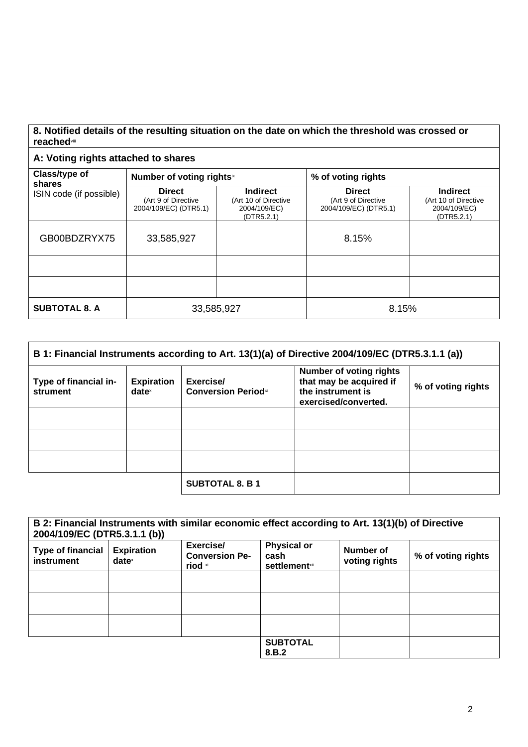## **8. Notified details of the resulting situation on the date on which the threshold was crossed or reached**viii

## **A: Voting rights attached to shares**

| Class/type of<br>shares<br>ISIN code (if possible) | Number of voting rightsix                                     |                                                                       | % of voting rights                                            |                                                                       |
|----------------------------------------------------|---------------------------------------------------------------|-----------------------------------------------------------------------|---------------------------------------------------------------|-----------------------------------------------------------------------|
|                                                    | <b>Direct</b><br>(Art 9 of Directive<br>2004/109/EC) (DTR5.1) | <b>Indirect</b><br>(Art 10 of Directive<br>2004/109/EC)<br>(DTR5.2.1) | <b>Direct</b><br>(Art 9 of Directive<br>2004/109/EC) (DTR5.1) | <b>Indirect</b><br>(Art 10 of Directive<br>2004/109/EC)<br>(DTR5.2.1) |
| GB00BDZRYX75                                       | 33,585,927                                                    |                                                                       | 8.15%                                                         |                                                                       |
|                                                    |                                                               |                                                                       |                                                               |                                                                       |
|                                                    |                                                               |                                                                       |                                                               |                                                                       |
| <b>SUBTOTAL 8. A</b>                               | 33,585,927                                                    |                                                                       | 8.15%                                                         |                                                                       |

| B 1: Financial Instruments according to Art. 13(1)(a) of Directive 2004/109/EC (DTR5.3.1.1 (a)) |                                                        |                                         |                                                                                                        |                    |
|-------------------------------------------------------------------------------------------------|--------------------------------------------------------|-----------------------------------------|--------------------------------------------------------------------------------------------------------|--------------------|
| Type of financial in-<br>strument                                                               | <b>Expiration</b><br>$date^{\scriptscriptstyle\times}$ | Exercise/<br><b>Conversion Periodxi</b> | <b>Number of voting rights</b><br>that may be acquired if<br>the instrument is<br>exercised/converted. | % of voting rights |
|                                                                                                 |                                                        |                                         |                                                                                                        |                    |
|                                                                                                 |                                                        |                                         |                                                                                                        |                    |
|                                                                                                 |                                                        |                                         |                                                                                                        |                    |
|                                                                                                 |                                                        | <b>SUBTOTAL 8. B 1</b>                  |                                                                                                        |                    |

| B 2: Financial Instruments with similar economic effect according to Art. 13(1)(b) of Directive<br>2004/109/EC (DTR5.3.1.1 (b)) |                               |                                               |                                                     |                            |                    |
|---------------------------------------------------------------------------------------------------------------------------------|-------------------------------|-----------------------------------------------|-----------------------------------------------------|----------------------------|--------------------|
| <b>Type of financial</b><br>instrument                                                                                          | <b>Expiration</b><br>$date^x$ | Exercise/<br><b>Conversion Pe-</b><br>riod xi | <b>Physical or</b><br>cash<br><b>settlement</b> xii | Number of<br>voting rights | % of voting rights |
|                                                                                                                                 |                               |                                               |                                                     |                            |                    |
|                                                                                                                                 |                               |                                               |                                                     |                            |                    |
|                                                                                                                                 |                               |                                               |                                                     |                            |                    |
|                                                                                                                                 |                               |                                               | <b>SUBTOTAL</b><br>8.B.2                            |                            |                    |